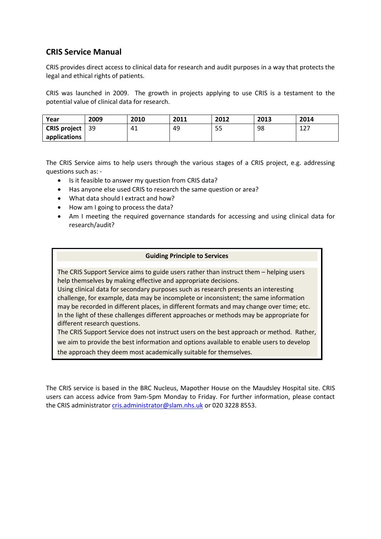## **CRIS Service Manual**

CRIS provides direct access to clinical data for research and audit purposes in a way that protects the legal and ethical rights of patients.

CRIS was launched in 2009. The growth in projects applying to use CRIS is a testament to the potential value of clinical data for research.

| Year                | 2009 | 2010 | 2011 | 2012 | 2013 | 2014      |
|---------------------|------|------|------|------|------|-----------|
| <b>CRIS project</b> | - 39 | 41   | 49   | 55   | 98   | 127<br>ᅩᄼ |
| applications        |      |      |      |      |      |           |

The CRIS Service aims to help users through the various stages of a CRIS project, e.g. addressing questions such as: -

- Is it feasible to answer my question from CRIS data?
- Has anyone else used CRIS to research the same question or area?
- What data should I extract and how?
- How am I going to process the data?
- Am I meeting the required governance standards for accessing and using clinical data for research/audit?

#### **Guiding Principle to Services**

The CRIS Support Service aims to guide users rather than instruct them – helping users help themselves by making effective and appropriate decisions.

Using clinical data for secondary purposes such as research presents an interesting challenge, for example, data may be incomplete or inconsistent; the same information may be recorded in different places, in different formats and may change over time; etc. In the light of these challenges different approaches or methods may be appropriate for different research questions.

The CRIS Support Service does not instruct users on the best approach or method. Rather, we aim to provide the best information and options available to enable users to develop the approach they deem most academically suitable for themselves.

The CRIS service is based in the BRC Nucleus, Mapother House on the Maudsley Hospital site. CRIS users can access advice from 9am-5pm Monday to Friday. For further information, please contact the CRIS administrator [cris.administrator@slam.nhs.uk](mailto:cris.administrator@slam.nhs.uk) or 020 3228 8553.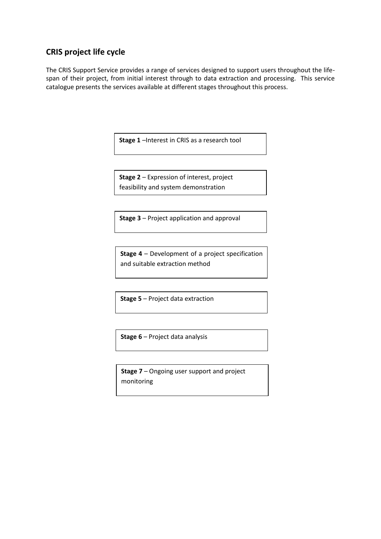# **CRIS project life cycle**

The CRIS Support Service provides a range of services designed to support users throughout the lifespan of their project, from initial interest through to data extraction and processing. This service catalogue presents the services available at different stages throughout this process.

**Stage 1** –Interest in CRIS as a research tool

**Stage 2** – Expression of interest, project feasibility and system demonstration

**Stage 3** – Project application and approval

**Stage 4** – Development of a project specification and suitable extraction method

**Stage 5** – Project data extraction

**Stage 6** – Project data analysis

**Stage 7** – Ongoing user support and project monitoring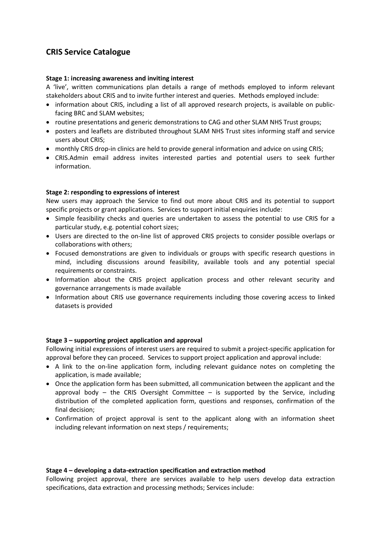# **CRIS Service Catalogue**

#### **Stage 1: increasing awareness and inviting interest**

A 'live', written communications plan details a range of methods employed to inform relevant stakeholders about CRIS and to invite further interest and queries. Methods employed include:

- information about CRIS, including a list of all approved research projects, is available on publicfacing BRC and SLAM websites;
- routine presentations and generic demonstrations to CAG and other SLAM NHS Trust groups;
- posters and leaflets are distributed throughout SLAM NHS Trust sites informing staff and service users about CRIS;
- monthly CRIS drop-in clinics are held to provide general information and advice on using CRIS;
- CRIS.Admin email address invites interested parties and potential users to seek further information.

#### **Stage 2: responding to expressions of interest**

New users may approach the Service to find out more about CRIS and its potential to support specific projects or grant applications. Services to support initial enquiries include:

- Simple feasibility checks and queries are undertaken to assess the potential to use CRIS for a particular study, e.g. potential cohort sizes;
- Users are directed to the on-line list of approved CRIS projects to consider possible overlaps or collaborations with others;
- Focused demonstrations are given to individuals or groups with specific research questions in mind, including discussions around feasibility, available tools and any potential special requirements or constraints.
- Information about the CRIS project application process and other relevant security and governance arrangements is made available
- Information about CRIS use governance requirements including those covering access to linked datasets is provided

#### **Stage 3 – supporting project application and approval**

Following initial expressions of interest users are required to submit a project-specific application for approval before they can proceed. Services to support project application and approval include:

- A link to the on-line application form, including relevant guidance notes on completing the application, is made available;
- Once the application form has been submitted, all communication between the applicant and the approval body – the CRIS Oversight Committee – is supported by the Service, including distribution of the completed application form, questions and responses, confirmation of the final decision;
- Confirmation of project approval is sent to the applicant along with an information sheet including relevant information on next steps / requirements;

#### **Stage 4 – developing a data-extraction specification and extraction method**

Following project approval, there are services available to help users develop data extraction specifications, data extraction and processing methods; Services include: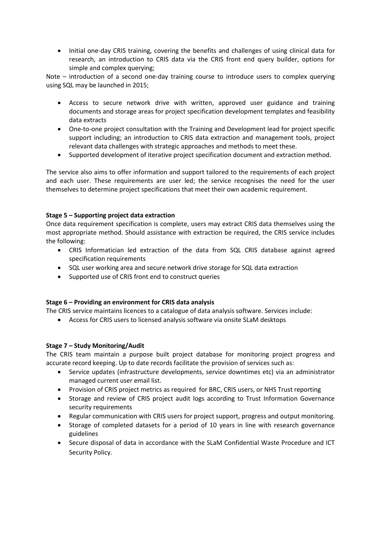• Initial one-day CRIS training, covering the benefits and challenges of using clinical data for research, an introduction to CRIS data via the CRIS front end query builder, options for simple and complex querying;

Note – introduction of a second one-day training course to introduce users to complex querying using SQL may be launched in 2015;

- Access to secure network drive with written, approved user guidance and training documents and storage areas for project specification development templates and feasibility data extracts
- One-to-one project consultation with the Training and Development lead for project specific support including; an introduction to CRIS data extraction and management tools, project relevant data challenges with strategic approaches and methods to meet these.
- Supported development of iterative project specification document and extraction method.

The service also aims to offer information and support tailored to the requirements of each project and each user. These requirements are user led; the service recognises the need for the user themselves to determine project specifications that meet their own academic requirement.

### **Stage 5 – Supporting project data extraction**

Once data requirement specification is complete, users may extract CRIS data themselves using the most appropriate method. Should assistance with extraction be required, the CRIS service includes the following:

- CRIS Informatician led extraction of the data from SQL CRIS database against agreed specification requirements
- SQL user working area and secure network drive storage for SQL data extraction
- Supported use of CRIS front end to construct queries

### **Stage 6 – Providing an environment for CRIS data analysis**

The CRIS service maintains licences to a catalogue of data analysis software. Services include:

Access for CRIS users to licensed analysis software via onsite SLaM desktops

### **Stage 7 – Study Monitoring/Audit**

The CRIS team maintain a purpose built project database for monitoring project progress and accurate record keeping. Up to date records facilitate the provision of services such as:

- Service updates (infrastructure developments, service downtimes etc) via an administrator managed current user email list.
- Provision of CRIS project metrics as required for BRC, CRIS users, or NHS Trust reporting
- Storage and review of CRIS project audit logs according to Trust Information Governance security requirements
- Regular communication with CRIS users for project support, progress and output monitoring.
- Storage of completed datasets for a period of 10 years in line with research governance guidelines
- Secure disposal of data in accordance with the SLaM Confidential Waste Procedure and ICT Security Policy.